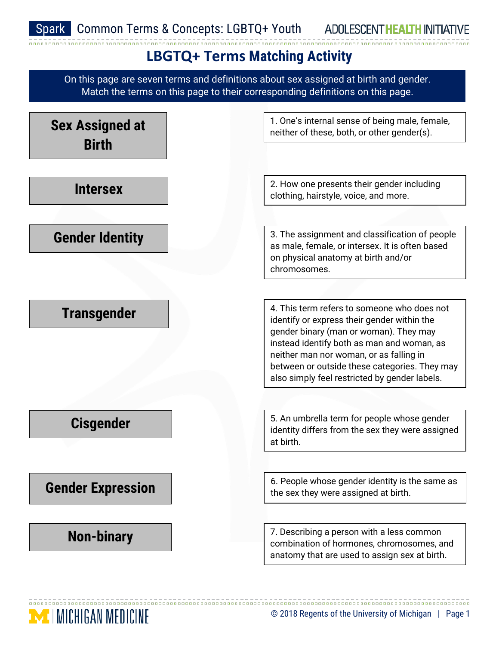ADOLESCENT HEALTH INITIATIVE

## **LBGTQ+ Terms Matching Activity**

On this page are seven terms and definitions about sex assigned at birth and gender. Match the terms on this page to their corresponding definitions on this page.